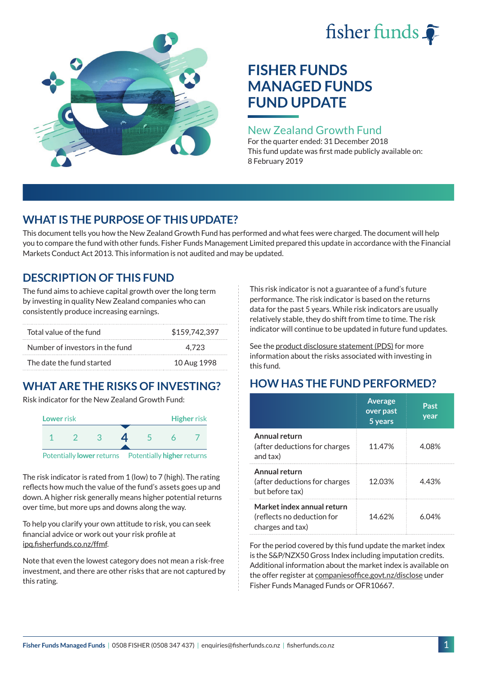# fisher funds  $\hat{\bullet}$



## **FISHER FUNDS MANAGED FUNDS FUND UPDATE**

## New Zealand Growth Fund

For the quarter ended: 31 December 2018 This fund update was first made publicly available on: 8 February 2019

## **WHAT IS THE PURPOSE OF THIS UPDATE?**

This document tells you how the New Zealand Growth Fund has performed and what fees were charged. The document will help you to compare the fund with other funds. Fisher Funds Management Limited prepared this update in accordance with the Financial Markets Conduct Act 2013. This information is not audited and may be updated.

## **DESCRIPTION OF THIS FUND**

The fund aims to achieve capital growth over the long term by investing in quality New Zealand companies who can consistently produce increasing earnings.

| Total value of the fund         | \$159,742,397 |
|---------------------------------|---------------|
| Number of investors in the fund | 4.723         |
| The date the fund started       | 10 Aug 1998   |

## **WHAT ARE THE RISKS OF INVESTING?**

Risk indicator for the New Zealand Growth Fund:



The risk indicator is rated from 1 (low) to 7 (high). The rating reflects how much the value of the fund's assets goes up and down. A higher risk generally means higher potential returns over time, but more ups and downs along the way.

To help you clarify your own attitude to risk, you can seek financial advice or work out your risk profile at [ipq.fisherfunds.co.nz/ffmf](https://ipq.fisherfunds.co.nz/ffmf).

Note that even the lowest category does not mean a risk-free investment, and there are other risks that are not captured by this rating.

This risk indicator is not a guarantee of a fund's future performance. The risk indicator is based on the returns data for the past 5 years. While risk indicators are usually relatively stable, they do shift from time to time. The risk indicator will continue to be updated in future fund updates.

See the [product disclosure statement \(PDS\)](https://fisherfunds.co.nz/assets/PDS/Fisher-Funds-Managed-Funds-PDS.pdf) for more information about the risks associated with investing in this fund.

## **HOW HAS THE FUND PERFORMED?**

|                                                                              | <b>Average</b><br>over past<br>5 years | Past<br>year |
|------------------------------------------------------------------------------|----------------------------------------|--------------|
| Annual return<br>(after deductions for charges<br>and tax)                   | 11.47%                                 | 4.08%        |
| Annual return<br>(after deductions for charges<br>but before tax)            | 12.03%                                 | 4.43%        |
| Market index annual return<br>(reflects no deduction for<br>charges and tax) | 14.62%                                 | 6 በ4%        |

For the period covered by this fund update the market index is the S&P/NZX50 Gross Index including imputation credits. Additional information about the market index is available on the offer register at [companiesoffice.govt.nz/disclose](http://companiesoffice.govt.nz/disclose) under Fisher Funds Managed Funds or OFR10667.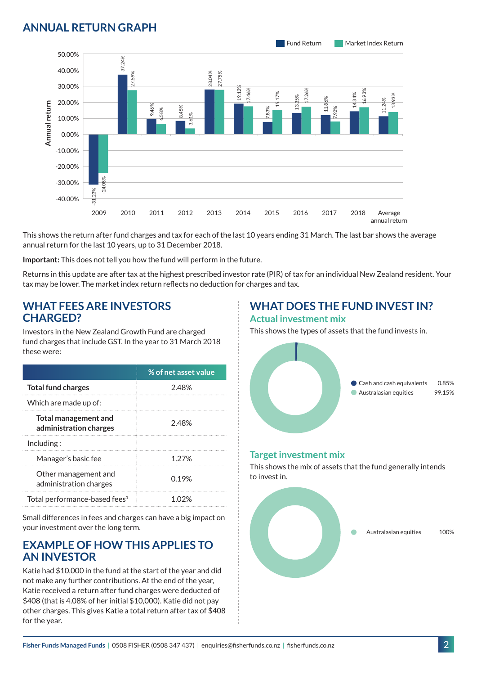## **ANNUAL RETURN GRAPH**



This shows the return after fund charges and tax for each of the last 10 years ending 31 March. The last bar shows the average annual return for the last 10 years, up to 31 December 2018.

**Important:** This does not tell you how the fund will perform in the future.

Returns in this update are after tax at the highest prescribed investor rate (PIR) of tax for an individual New Zealand resident. Your tax may be lower. The market index return reflects no deduction for charges and tax.

#### **WHAT FEES ARE INVESTORS CHARGED?**

Investors in the New Zealand Growth Fund are charged fund charges that include GST. In the year to 31 March 2018 these were:

|                                                       | % of net asset value |
|-------------------------------------------------------|----------------------|
| <b>Total fund charges</b>                             | 2.48%                |
| Which are made up of:                                 |                      |
| <b>Total management and</b><br>administration charges | 2.48%                |
| Inding:                                               |                      |
| Manager's basic fee                                   | 1.27%                |
| Other management and<br>administration charges        | 0.19%                |
| Total performance-based fees <sup>1</sup>             |                      |

Small differences in fees and charges can have a big impact on your investment over the long term.

#### **EXAMPLE OF HOW THIS APPLIES TO AN INVESTOR**

Katie had \$10,000 in the fund at the start of the year and did not make any further contributions. At the end of the year, Katie received a return after fund charges were deducted of \$408 (that is 4.08% of her initial \$10,000). Katie did not pay other charges. This gives Katie a total return after tax of \$408 for the year.

#### **WHAT DOES THE FUND INVEST IN? Actual investment mix**

This shows the types of assets that the fund invests in.



#### **Target investment mix**

This shows the mix of assets that the fund generally intends to invest in.